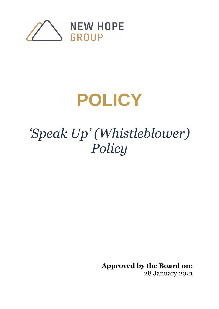

# **POLICY**

## *'Speak Up' (Whistleblower) Policy*

**Approved by the Board on:**  28 January 2021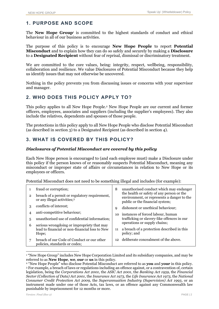## **1. PURPOSE AND SCOPE**

The **New Hope Group**<sup>1</sup> is committed to the highest standards of conduct and ethical behaviour in all of our business activities.

The purpose of this policy is to encourage **New Hope People** to report **Potential Misconduct** and to explain how they can do so safely and securely by making a **Disclosure** to a **Designated Recipient** without fear of reprisal, dismissal or discriminatory treatment.

We are committed to the core values, being: integrity, respect, wellbeing, responsibility, collaboration and resilience. We value Disclosures of Potential Misconduct because they help us identify issues that may not otherwise be uncovered.

Nothing in the policy prevents you from discussing issues or concerns with your supervisor and manager.

## **2. WHO DOES THIS POLICY APPLY TO?**

This policy applies to all New Hope People. <sup>2</sup> New Hope People are our current and former officers, employees, associates and suppliers (including the supplier's employees). They also include the relatives, dependents and spouses of those people.

The protections in this policy apply to all New Hope People who disclose Potential Misconduct (as described in section 3) to a Designated Recipient (as described in section 4).

## **3. WHAT IS COVERED BY THIS POLICY?**

#### *Disclosures of Potential Misconduct are covered by this policy*

Each New Hope person is encouraged to (and each employee must) make a Disclosure under this policy if the person knows of or reasonably suspects Potential Misconduct, meaning any misconduct or improper state of affairs or circumstances in relation to New Hope or its employees or officers.

Potential Misconduct does not need to be something illegal and includes (for example):

| $\overline{2}$ | fraud or corruption;<br>breach of a permit or regulatory requirement,<br>or any illegal activities; <sup>3</sup> | 8  | unauthorised conduct which may endanger<br>the health or safety of any person or the<br>environment, or represents a danger to the<br>public or the financial system; |
|----------------|------------------------------------------------------------------------------------------------------------------|----|-----------------------------------------------------------------------------------------------------------------------------------------------------------------------|
| 3              | conflicts of interest;                                                                                           | q  | dishonest or unethical behaviour;                                                                                                                                     |
| 4              | anti-competitive behaviour;                                                                                      | 10 | instances of forced labour, human                                                                                                                                     |
| 5              | unauthorised use of confidential information;                                                                    |    | trafficking or slavery-like offences in our                                                                                                                           |
| 6              | serious wrongdoing or impropriety that may                                                                       |    | operations or supply chains;                                                                                                                                          |
|                | lead to financial or non-financial loss to New<br>Hope;                                                          | 11 | a breach of a protection described in this<br>policy; and                                                                                                             |
|                | breach of our Code of Conduct or our other<br>policies, standards or codes;                                      |    | 12 deliberate concealment of the above.                                                                                                                               |

<sup>1</sup> "New Hope Group" includes New Hope Corporation Limited and its subsidiary companies, and may be referred to as **New Hope**, **we**, **our** or **us** in this policy.

<sup>2</sup> "New Hope People" who disclose Potential Misconduct are referred to as **you** and **your** in this policy. <sup>3</sup> For example, a breach of laws or regulations including an offence against, or a contravention of, certain legislation, being the *Corporations Act 2001*, the *ASIC Act 2001*, the *Banking Act 1959*, the *Financial Sector (Collection of Data) Act 2001*, the *Insurance Act 1973*, the *Life Insurance Act 1973*, the *National Consumer Credit Protection Act 2009*, the *Superannuation Industry (Supervision) Act 1993*, or an instrument made under one of those Acts, tax laws, or an offence against any Commonwealth law punishable by imprisonment for 12 months or more.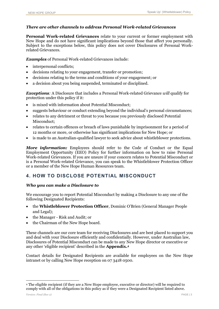#### *There are other channels to address Personal Work-related Grievances*

**Personal Work-related Grievances** relate to your current or former employment with New Hope and do not have significant implications beyond those that affect you personally. Subject to the exceptions below, this policy does not cover Disclosures of Personal Workrelated Grievances.

*Examples* of Personal Work-related Grievances include:

- interpersonal conflicts;
- decisions relating to your engagement, transfer or promotion;
- decisions relating to the terms and conditions of your engagement; or
- a decision about you being suspended, terminated or disciplined.

*Exceptions:* A Disclosure that includes a Personal Work-related Grievance *will* qualify for protection under this policy if it:

- is mixed with information about Potential Misconduct;
- suggests behaviour or conduct extending beyond the individual's personal circumstances;
- relates to any detriment or threat to you because you previously disclosed Potential Misconduct;
- relates to certain offences or breach of laws punishable by imprisonment for a period of 12 months or more, or otherwise has significant implications for New Hope; or
- is made to an Australian-qualified lawyer to seek advice about whistleblower protections.

**More information:** Employees should refer to the Code of Conduct or the Equal Employment Opportunity (EEO) Policy for further information on how to raise Personal Work-related Grievances. If you are unsure if your concern relates to Potential Misconduct or is a Personal Work-related Grievance, you can speak to the Whistleblower Protection Officer or a member of the New Hope Human Resources team.

## <span id="page-2-0"></span>**4. HOW TO DISCLOSE POTENTIAL MISCONDUCT**

#### *Who you can make a Disclosure to*

We encourage you to report Potential Misconduct by making a Disclosure to any one of the following Designated Recipients:

- the **Whistleblower Protection Officer**, Dominic O'Brien (General Manager People and Legal);
- the Manager Risk and Audit; or
- the Chairman of the New Hope board.

These channels are our core team for receiving Disclosures and are best placed to support you and deal with your Disclosure efficiently and confidentially. However, under Australian law, Disclosures of Potential Misconduct can be made to any New Hope director or executive or any other 'eligible recipient' described in the **Appendix. 4**

Contact details for Designated Recipients are available for employees on the New Hope intranet or by calling New Hope reception on 07 3418 0500.

<sup>4</sup> The eligible recipient (if they are a New Hope employee, executive or director) will be required to comply with all of the obligations in this policy as if they were a Designated Recipient listed above.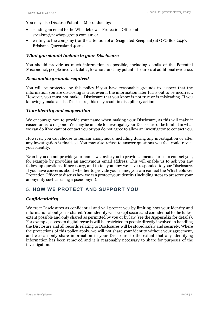You may also Disclose Potential Misconduct by:

- sending an email to the Whistleblower Protection Officer at speakup@newhopegroup.com.au; or
- writing to the company (for the attention of a Designated Recipient) at GPO Box 2440, Brisbane, Queensland 4001.

#### *What you should include in your Disclosure*

You should provide as much information as possible, including details of the Potential Misconduct, people involved, dates, locations and any potential sources of additional evidence.

#### *Reasonable grounds required*

You will be protected by this policy if you have reasonable grounds to suspect that the information you are disclosing is true, even if the information later turns out to be incorrect. However, you must not make a Disclosure that you know is not true or is misleading. If you knowingly make a false Disclosure, this may result in disciplinary action.

#### *Your identity and cooperation*

We encourage you to provide your name when making your Disclosure, as this will make it easier for us to respond. We may be unable to investigate your Disclosure or be limited in what we can do if we cannot contact you or you do not agree to allow an investigator to contact you.

However, you can choose to remain anonymous, including during any investigation or after any investigation is finalised. You may also refuse to answer questions you feel could reveal your identity.

Even if you do not provide your name, we invite you to provide a means for us to contact you, for example by providing an anonymous email address. This will enable us to ask you any follow-up questions, if necessary, and to tell you how we have responded to your Disclosure. If you have concerns about whether to provide your name, you can contact the Whistleblower Protection Officer to discuss how we can protect your identity (including steps to preserve your anonymity such as using a pseudonym).

## **5. HOW WE PROTECT AND SUPPORT YOU**

#### *Confidentiality*

We treat Disclosures as confidential and will protect you by limiting how your identity and information about you is shared. Your identity will be kept secure and confidential to the fullest extent possible and only shared as permitted by you or by law (see the **Appendix** for details). For example, access to digital records will be restricted to people directly involved in handling the Disclosure and all records relating to Disclosures will be stored safely and securely. Where the protections of this policy apply, we will not share your identity without your agreement, and we can only share information in your Disclosure to the extent that any identifying information has been removed and it is reasonably necessary to share for purposes of the investigation.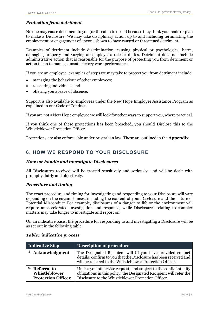#### *Protection from detriment*

No one may cause detriment to you (or threaten to do so) because they think you made or plan to make a Disclosure. We may take disciplinary action up to and including terminating the employment or engagement of anyone shown to have caused or threatened detriment.

Examples of detriment include discrimination, causing physical or psychological harm, damaging property and varying an employee's role or duties. Detriment does not include administrative action that is reasonable for the purpose of protecting you from detriment or action taken to manage unsatisfactory work performance.

If you are an employee, examples of steps we may take to protect you from detriment include:

- managing the behaviour of other employees;
- relocating individuals, and
- offering you a leave of absence.

Support is also available to employees under the New Hope Employee Assistance Program as explained in our Code of Conduct.

If you are not a New Hope employee we will look for other ways to support you, where practical.

If you think one of these protections has been breached, you should Disclose this to the Whistleblower Protection Officer.

Protections are also enforceable under Australian law. These are outlined in the **Appendix**.

## **6. HOW WE RESPOND TO YOUR DISCLOSURE**

#### *How we handle and investigate Disclosures*

All Disclosures received will be treated sensitively and seriously, and will be dealt with promptly, fairly and objectively.

#### *Procedure and timing*

The exact procedure and timing for investigating and responding to your Disclosure will vary depending on the circumstances, including the content of your Disclosure and the nature of Potential Misconduct. For example, disclosures of a danger to life or the environment will require an accelerated investigation and response, while Disclosures relating to complex matters may take longer to investigate and report on.

On an indicative basis, the procedure for responding to and investigating a Disclosure will be as set out in the following table.

| Indicative Step |                                                                        | <b>Description of procedure</b>                                                                                                                                                                |  |
|-----------------|------------------------------------------------------------------------|------------------------------------------------------------------------------------------------------------------------------------------------------------------------------------------------|--|
|                 | Acknowledgment                                                         | The Designated Recipient will (if you have provided contact<br>details) confirm to you that the Disclosure has been received and<br>will be referred to the Whistleblower Protection Officer.  |  |
|                 | <sup>2</sup> Referral to<br>Whistleblower<br><b>Protection Officer</b> | Unless you otherwise request, and subject to the confidentiality<br>obligations in this policy, the Designated Recipient will refer the<br>Disclosure to the Whistleblower Protection Officer. |  |

#### *Table: indicative process*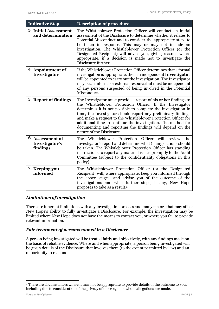| <b>Indicative Step</b> |                                                    | <b>Description of procedure</b>                                                                                                                                                                                                                                                                                                                                                                                                                                                               |
|------------------------|----------------------------------------------------|-----------------------------------------------------------------------------------------------------------------------------------------------------------------------------------------------------------------------------------------------------------------------------------------------------------------------------------------------------------------------------------------------------------------------------------------------------------------------------------------------|
| 3                      | <b>Initial Assessment</b><br>and determination     | The Whistleblower Protection Officer will conduct an initial<br>assessment of the Disclosure to determine whether it relates to<br>Potential Misconduct and to consider the appropriate steps to<br>be taken in response. This may or may not include an<br>investigation. The Whistleblower Protection Officer (or the<br>Designated Recipient) will advise you, giving reasons where<br>appropriate, if a decision is made not to investigate the<br>Disclosure further.                    |
| 4                      | <b>Appointment of</b><br>Investigator              | If the Whistleblower Protection Officer determines that a formal<br>investigation is appropriate, then an independent Investigator<br>will be appointed to carry out the investigation. The Investigator<br>may be an internal or external resource but must be independent<br>of any persons suspected of being involved in the Potential<br>Misconduct.                                                                                                                                     |
| 5                      | <b>Report of findings</b>                          | The Investigator must provide a report of his or her findings to<br>the Whistleblower Protection Officer. If the Investigator<br>determines it is not possible to complete the investigation in<br>time, the Investigator should report any preliminary findings<br>and make a request to the Whistleblower Protection Officer for<br>additional time to continue the investigation. The method for<br>documenting and reporting the findings will depend on the<br>nature of the Disclosure. |
| 6                      | <b>Assessment of</b><br>Investigator's<br>findings | The Whistleblower Protection Officer will review the<br>Investigator's report and determine what (if any) actions should<br>be taken. The Whistleblower Protection Officer has standing<br>instructions to report any material issues promptly to the Audit<br>Committee (subject to the confidentiality obligations in this<br>policy).                                                                                                                                                      |
| 7                      | <b>Keeping you</b><br>informed                     | The Whistleblower Protection Officer (or the Designated<br>Recipient) will, where appropriate, keep you informed through<br>the above stages, and advise you of the outcome of the<br>investigations and what further steps, if any, New Hope<br>proposes to take as a result. <sup>5</sup>                                                                                                                                                                                                   |

#### *Limitations of investigation*

There are inherent limitations with any investigation process and many factors that may affect New Hope's ability to fully investigate a Disclosure. For example, the investigation may be limited where New Hope does not have the means to contact you, or where you fail to provide relevant information.

#### *Fair treatment of persons named in a Disclosure*

A person being investigated will be treated fairly and objectively, with any findings made on the basis of reliable evidence. Where and when appropriate, a person being investigated will be given details of the Disclosure that involves them (to the extent permitted by law) and an opportunity to respond.

<sup>5</sup> There are circumstances where it may not be appropriate to provide details of the outcome to you, including due to consideration of the privacy of those against whom allegations are made.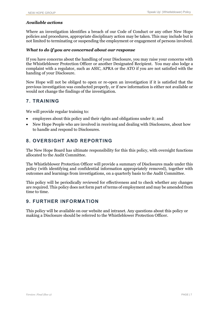#### *Available actions*

Where an investigation identifies a breach of our Code of Conduct or any other New Hope policies and procedures, appropriate disciplinary action may be taken. This may include but is not limited to terminating or suspending the employment or engagement of persons involved.

#### *What to do if you are concerned about our response*

If you have concerns about the handling of your Disclosure, you may raise your concerns with the Whistleblower Protection Officer or another Designated Recipient. You may also lodge a complaint with a regulator, such as ASIC, APRA or the ATO if you are not satisfied with the handing of your Disclosure.

New Hope will not be obliged to open or re-open an investigation if it is satisfied that the previous investigation was conducted properly, or if new information is either not available or would not change the findings of the investigation.

### **7. TRAINING**

We will provide regular training to:

- employees about this policy and their rights and obligations under it; and
- New Hope People who are involved in receiving and dealing with Disclosures, about how to handle and respond to Disclosures.

## **8. OVERSIGHT AND REPORTING**

The New Hope Board has ultimate responsibility for this this policy, with oversight functions allocated to the Audit Committee.

The Whistleblower Protection Officer will provide a summary of Disclosures made under this policy (with identifying and confidential information appropriately removed), together with outcomes and learnings from investigations, on a quarterly basis to the Audit Committee.

This policy will be periodically reviewed for effectiveness and to check whether any changes are required. This policy does not form part of terms of employment and may be amended from time to time.

## **9. FURTHER INFORMATION**

This policy will be available on our website and intranet. Any questions about this policy or making a Disclosure should be referred to the Whistleblower Protection Officer.